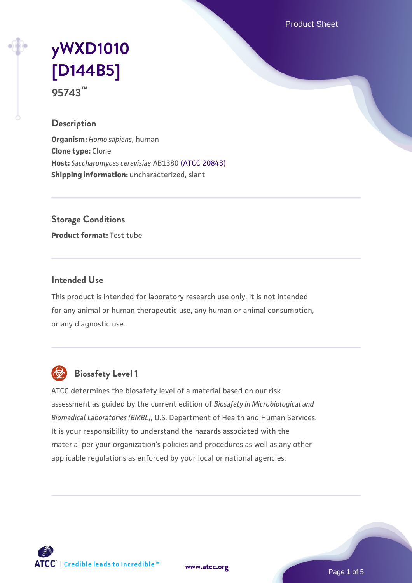Product Sheet

# **[yWXD1010](https://www.atcc.org/products/95743) [\[D144B5\]](https://www.atcc.org/products/95743) 95743™**

### **Description**

**Organism:** *Homo sapiens*, human **Clone type:** Clone **Host:** *Saccharomyces cerevisiae* AB1380 [\(ATCC 20843\)](https://www.atcc.org/products/20843) **Shipping information:** uncharacterized, slant

**Storage Conditions**

**Product format:** Test tube

### **Intended Use**

This product is intended for laboratory research use only. It is not intended for any animal or human therapeutic use, any human or animal consumption, or any diagnostic use.



# **Biosafety Level 1**

ATCC determines the biosafety level of a material based on our risk assessment as guided by the current edition of *Biosafety in Microbiological and Biomedical Laboratories (BMBL)*, U.S. Department of Health and Human Services. It is your responsibility to understand the hazards associated with the material per your organization's policies and procedures as well as any other applicable regulations as enforced by your local or national agencies.



**[www.atcc.org](http://www.atcc.org)**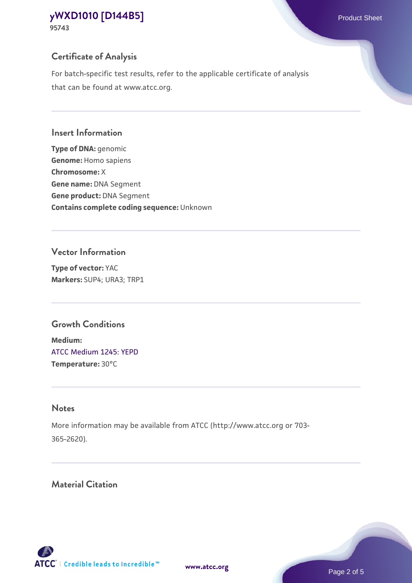**95743**

# **Certificate of Analysis**

For batch-specific test results, refer to the applicable certificate of analysis that can be found at www.atcc.org.

#### **Insert Information**

**Type of DNA:** genomic **Genome:** Homo sapiens **Chromosome:** X **Gene name:** DNA Segment **Gene product:** DNA Segment **Contains complete coding sequence:** Unknown

### **Vector Information**

**Type of vector:** YAC **Markers:** SUP4; URA3; TRP1

# **Growth Conditions**

**Medium:**  [ATCC Medium 1245: YEPD](https://www.atcc.org/-/media/product-assets/documents/microbial-media-formulations/1/2/4/5/atcc-medium-1245.pdf?rev=705ca55d1b6f490a808a965d5c072196) **Temperature:** 30°C

# **Notes**

More information may be available from ATCC (http://www.atcc.org or 703- 365-2620).

# **Material Citation**

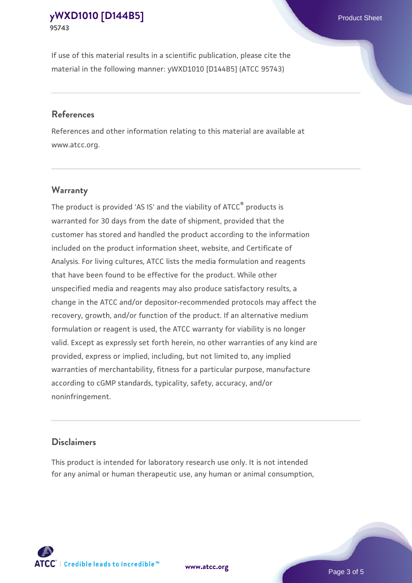If use of this material results in a scientific publication, please cite the material in the following manner: yWXD1010 [D144B5] (ATCC 95743)

#### **References**

References and other information relating to this material are available at www.atcc.org.

#### **Warranty**

The product is provided 'AS IS' and the viability of  $ATCC<sup>®</sup>$  products is warranted for 30 days from the date of shipment, provided that the customer has stored and handled the product according to the information included on the product information sheet, website, and Certificate of Analysis. For living cultures, ATCC lists the media formulation and reagents that have been found to be effective for the product. While other unspecified media and reagents may also produce satisfactory results, a change in the ATCC and/or depositor-recommended protocols may affect the recovery, growth, and/or function of the product. If an alternative medium formulation or reagent is used, the ATCC warranty for viability is no longer valid. Except as expressly set forth herein, no other warranties of any kind are provided, express or implied, including, but not limited to, any implied warranties of merchantability, fitness for a particular purpose, manufacture according to cGMP standards, typicality, safety, accuracy, and/or noninfringement.

#### **Disclaimers**

This product is intended for laboratory research use only. It is not intended for any animal or human therapeutic use, any human or animal consumption,

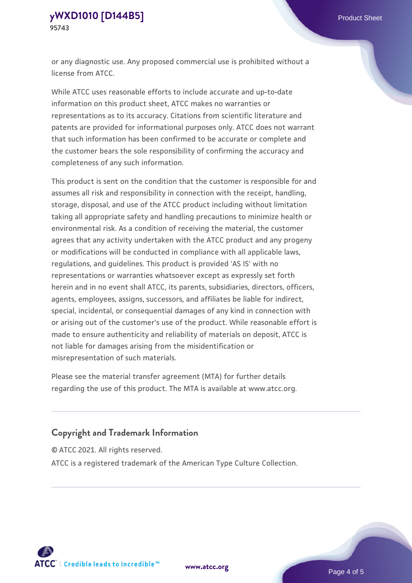or any diagnostic use. Any proposed commercial use is prohibited without a license from ATCC.

While ATCC uses reasonable efforts to include accurate and up-to-date information on this product sheet, ATCC makes no warranties or representations as to its accuracy. Citations from scientific literature and patents are provided for informational purposes only. ATCC does not warrant that such information has been confirmed to be accurate or complete and the customer bears the sole responsibility of confirming the accuracy and completeness of any such information.

This product is sent on the condition that the customer is responsible for and assumes all risk and responsibility in connection with the receipt, handling, storage, disposal, and use of the ATCC product including without limitation taking all appropriate safety and handling precautions to minimize health or environmental risk. As a condition of receiving the material, the customer agrees that any activity undertaken with the ATCC product and any progeny or modifications will be conducted in compliance with all applicable laws, regulations, and guidelines. This product is provided 'AS IS' with no representations or warranties whatsoever except as expressly set forth herein and in no event shall ATCC, its parents, subsidiaries, directors, officers, agents, employees, assigns, successors, and affiliates be liable for indirect, special, incidental, or consequential damages of any kind in connection with or arising out of the customer's use of the product. While reasonable effort is made to ensure authenticity and reliability of materials on deposit, ATCC is not liable for damages arising from the misidentification or misrepresentation of such materials.

Please see the material transfer agreement (MTA) for further details regarding the use of this product. The MTA is available at www.atcc.org.

## **Copyright and Trademark Information**

© ATCC 2021. All rights reserved.

ATCC is a registered trademark of the American Type Culture Collection.



**[www.atcc.org](http://www.atcc.org)**